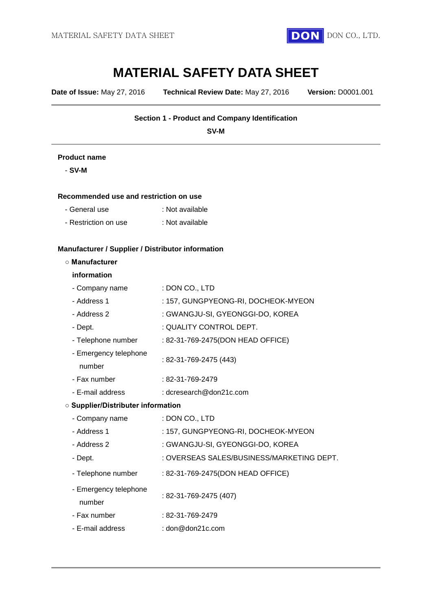

# **MATERIAL SAFETY DATA SHEET**

**Date of Issue:** May 27, 2016 **Technical Review Date:** May 27, 2016 **Version:** D0001.001

# **Section 1 - Product and Company Identification**

**SV-M**

#### **Product name**

- **SV-M**

#### **Recommended use and restriction on use**

- General use : Not available
- Restriction on use : Not available

#### **Manufacturer / Supplier / Distributor information**

#### **○ Manufacturer**

#### **information**

- Company name : DON CO., LTD
- Address 1 : 157, GUNGPYEONG-RI, DOCHEOK-MYEON
- Address 2 : GWANGJU-SI, GYEONGGI-DO, KOREA
- Dept.  $\qquad \qquad :$  QUALITY CONTROL DEPT.
- Telephone number : 82-31-769-2475(DON HEAD OFFICE)
- Emergency telephone number : 82-31-769-2475 (443)
- Fax number : 82-31-769-2479
- E-mail address : dcresearch@don21c.com

#### **○ Supplier/Distributer information**

| - Company name                  | : DON CO., LTD                            |
|---------------------------------|-------------------------------------------|
| - Address 1                     | : 157, GUNGPYEONG-RI, DOCHEOK-MYEON       |
| - Address 2                     | : GWANGJU-SI, GYEONGGI-DO, KOREA          |
| - Dept.                         | : OVERSEAS SALES/BUSINESS/MARKETING DEPT. |
| - Telephone number              | : 82-31-769-2475(DON HEAD OFFICE)         |
| - Emergency telephone<br>number | $: 82-31-769-2475(407)$                   |
| - Fax number                    | $: 82 - 31 - 769 - 2479$                  |
| - E-mail address                | : $\text{don@don21c.com}$                 |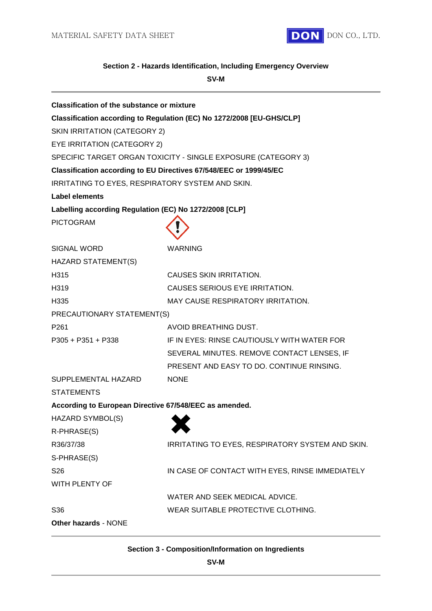

**Section 2 - Hazards Identification, Including Emergency Overview**

**SV-M**

| <b>Classification of the substance or mixture</b>      |                                                                       |  |  |  |  |
|--------------------------------------------------------|-----------------------------------------------------------------------|--|--|--|--|
|                                                        | Classification according to Regulation (EC) No 1272/2008 [EU-GHS/CLP] |  |  |  |  |
| SKIN IRRITATION (CATEGORY 2)                           |                                                                       |  |  |  |  |
| EYE IRRITATION (CATEGORY 2)                            |                                                                       |  |  |  |  |
|                                                        | SPECIFIC TARGET ORGAN TOXICITY - SINGLE EXPOSURE (CATEGORY 3)         |  |  |  |  |
|                                                        | Classification according to EU Directives 67/548/EEC or 1999/45/EC    |  |  |  |  |
| IRRITATING TO EYES, RESPIRATORY SYSTEM AND SKIN.       |                                                                       |  |  |  |  |
| <b>Label elements</b>                                  |                                                                       |  |  |  |  |
| Labelling according Regulation (EC) No 1272/2008 [CLP] |                                                                       |  |  |  |  |
| <b>PICTOGRAM</b>                                       |                                                                       |  |  |  |  |
|                                                        |                                                                       |  |  |  |  |
| <b>SIGNAL WORD</b>                                     | <b>WARNING</b>                                                        |  |  |  |  |
| HAZARD STATEMENT(S)                                    |                                                                       |  |  |  |  |
| H315                                                   | CAUSES SKIN IRRITATION.                                               |  |  |  |  |
| H319                                                   | CAUSES SERIOUS EYE IRRITATION.                                        |  |  |  |  |
| H335                                                   | MAY CAUSE RESPIRATORY IRRITATION.                                     |  |  |  |  |
| PRECAUTIONARY STATEMENT(S)                             |                                                                       |  |  |  |  |
| P <sub>261</sub>                                       | AVOID BREATHING DUST.                                                 |  |  |  |  |
| P305 + P351 + P338                                     | IF IN EYES: RINSE CAUTIOUSLY WITH WATER FOR                           |  |  |  |  |
|                                                        | SEVERAL MINUTES. REMOVE CONTACT LENSES, IF                            |  |  |  |  |
|                                                        | PRESENT AND EASY TO DO. CONTINUE RINSING.                             |  |  |  |  |
| SUPPLEMENTAL HAZARD                                    | <b>NONE</b>                                                           |  |  |  |  |
| <b>STATEMENTS</b>                                      |                                                                       |  |  |  |  |
| According to European Directive 67/548/EEC as amended. |                                                                       |  |  |  |  |
| HAZARD SYMBOL(S)                                       |                                                                       |  |  |  |  |
| R-PHRASE(S)                                            |                                                                       |  |  |  |  |
| R36/37/38                                              | IRRITATING TO EYES, RESPIRATORY SYSTEM AND SKIN.                      |  |  |  |  |
| S-PHRASE(S)                                            |                                                                       |  |  |  |  |
| S <sub>26</sub>                                        | IN CASE OF CONTACT WITH EYES, RINSE IMMEDIATELY                       |  |  |  |  |
| <b>WITH PLENTY OF</b>                                  |                                                                       |  |  |  |  |
|                                                        | WATER AND SEEK MEDICAL ADVICE.                                        |  |  |  |  |
| S36                                                    | WEAR SUITABLE PROTECTIVE CLOTHING.                                    |  |  |  |  |
| Other hazards - NONE                                   |                                                                       |  |  |  |  |

# **Section 3 - Composition/Information on Ingredients**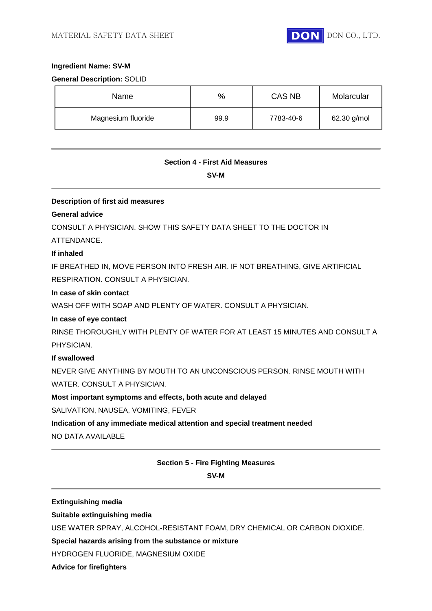

# **Ingredient Name: SV-M**

**General Description:** SOLID

| Name               | %    | <b>CAS NB</b> | Molarcular  |
|--------------------|------|---------------|-------------|
| Magnesium fluoride | 99.9 | 7783-40-6     | 62.30 g/mol |

# **Section 4 - First Aid Measures**

**SV-M**

#### **Description of first aid measures**

# **General advice**

CONSULT A PHYSICIAN. SHOW THIS SAFETY DATA SHEET TO THE DOCTOR IN

# ATTENDANCE.

#### **If inhaled**

IF BREATHED IN, MOVE PERSON INTO FRESH AIR. IF NOT BREATHING, GIVE ARTIFICIAL RESPIRATION. CONSULT A PHYSICIAN.

#### **In case of skin contact**

WASH OFF WITH SOAP AND PLENTY OF WATER. CONSULT A PHYSICIAN.

#### **In case of eye contact**

RINSE THOROUGHLY WITH PLENTY OF WATER FOR AT LEAST 15 MINUTES AND CONSULT A PHYSICIAN.

#### **If swallowed**

NEVER GIVE ANYTHING BY MOUTH TO AN UNCONSCIOUS PERSON. RINSE MOUTH WITH WATER. CONSULT A PHYSICIAN.

# **Most important symptoms and effects, both acute and delayed**

SALIVATION, NAUSEA, VOMITING, FEVER

**Indication of any immediate medical attention and special treatment needed**

NO DATA AVAILABLE

# **Section 5 - Fire Fighting Measures**

#### **SV-M**

**Extinguishing media**

**Suitable extinguishing media**

USE WATER SPRAY, ALCOHOL-RESISTANT FOAM, DRY CHEMICAL OR CARBON DIOXIDE.

**Special hazards arising from the substance or mixture**

HYDROGEN FLUORIDE, MAGNESIUM OXIDE

**Advice for firefighters**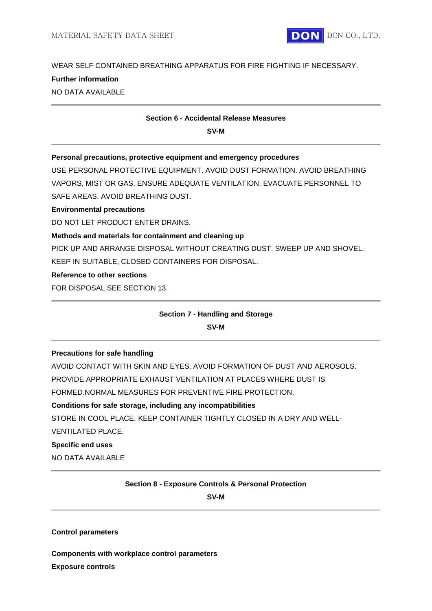

WEAR SELF CONTAINED BREATHING APPARATUS FOR FIRE FIGHTING IF NECESSARY.

# **Further information**

NO DATA AVAILABLE

# **Section 6 - Accidental Release Measures**

**SV-M**

# **Personal precautions, protective equipment and emergency procedures**

USE PERSONAL PROTECTIVE EQUIPMENT. AVOID DUST FORMATION. AVOID BREATHING VAPORS, MIST OR GAS. ENSURE ADEQUATE VENTILATION. EVACUATE PERSONNEL TO SAFE AREAS. AVOID BREATHING DUST.

#### **Environmental precautions**

DO NOT LET PRODUCT ENTER DRAINS.

# **Methods and materials for containment and cleaning up**

PICK UP AND ARRANGE DISPOSAL WITHOUT CREATING DUST. SWEEP UP AND SHOVEL. KEEP IN SUITABLE, CLOSED CONTAINERS FOR DISPOSAL.

# **Reference to other sections**

FOR DISPOSAL SEE SECTION 13.

# **Section 7 - Handling and Storage**

**SV-M**

#### **Precautions for safe handling**

AVOID CONTACT WITH SKIN AND EYES. AVOID FORMATION OF DUST AND AEROSOLS.

PROVIDE APPROPRIATE EXHAUST VENTILATION AT PLACES WHERE DUST IS

FORMED.NORMAL MEASURES FOR PREVENTIVE FIRE PROTECTION.

#### **Conditions for safe storage, including any incompatibilities**

STORE IN COOL PLACE. KEEP CONTAINER TIGHTLY CLOSED IN A DRY AND WELL-

VENTILATED PLACE.

#### **Specific end uses**

NO DATA AVAILABLE

# **Section 8 - Exposure Controls & Personal Protection**

**SV-M**

#### **Control parameters**

**Components with workplace control parameters**

**Exposure controls**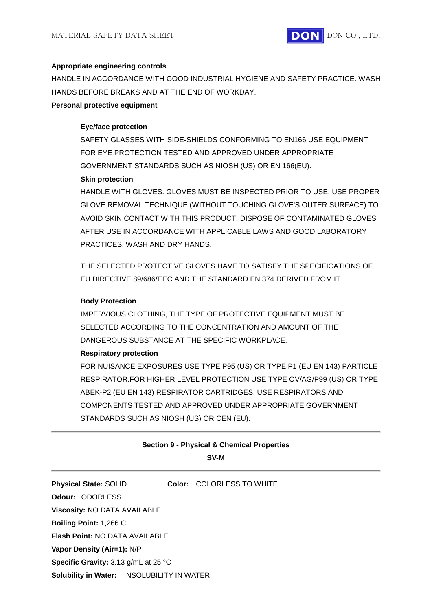# **Appropriate engineering controls**

HANDLE IN ACCORDANCE WITH GOOD INDUSTRIAL HYGIENE AND SAFETY PRACTICE. WASH HANDS BEFORE BREAKS AND AT THE END OF WORKDAY.

#### **Personal protective equipment**

# **Eye/face protection**

SAFETY GLASSES WITH SIDE-SHIELDS CONFORMING TO EN166 USE EQUIPMENT FOR EYE PROTECTION TESTED AND APPROVED UNDER APPROPRIATE GOVERNMENT STANDARDS SUCH AS NIOSH (US) OR EN 166(EU).

#### **Skin protection**

HANDLE WITH GLOVES. GLOVES MUST BE INSPECTED PRIOR TO USE. USE PROPER GLOVE REMOVAL TECHNIQUE (WITHOUT TOUCHING GLOVE'S OUTER SURFACE) TO AVOID SKIN CONTACT WITH THIS PRODUCT. DISPOSE OF CONTAMINATED GLOVES AFTER USE IN ACCORDANCE WITH APPLICABLE LAWS AND GOOD LABORATORY PRACTICES. WASH AND DRY HANDS.

THE SELECTED PROTECTIVE GLOVES HAVE TO SATISFY THE SPECIFICATIONS OF EU DIRECTIVE 89/686/EEC AND THE STANDARD EN 374 DERIVED FROM IT.

# **Body Protection**

IMPERVIOUS CLOTHING, THE TYPE OF PROTECTIVE EQUIPMENT MUST BE SELECTED ACCORDING TO THE CONCENTRATION AND AMOUNT OF THE DANGEROUS SUBSTANCE AT THE SPECIFIC WORKPLACE.

#### **Respiratory protection**

FOR NUISANCE EXPOSURES USE TYPE P95 (US) OR TYPE P1 (EU EN 143) PARTICLE RESPIRATOR.FOR HIGHER LEVEL PROTECTION USE TYPE OV/AG/P99 (US) OR TYPE ABEK-P2 (EU EN 143) RESPIRATOR CARTRIDGES. USE RESPIRATORS AND COMPONENTS TESTED AND APPROVED UNDER APPROPRIATE GOVERNMENT STANDARDS SUCH AS NIOSH (US) OR CEN (EU).

| <b>Section 9 - Physical &amp; Chemical Properties</b> |  |  |
|-------------------------------------------------------|--|--|
|-------------------------------------------------------|--|--|

#### **SV-M**

**Physical State:** SOLID **Color:** COLORLESS TO WHITE **Odour:** ODORLESS **Viscosity:** NO DATA AVAILABLE **Boiling Point:** 1,266 C **Flash Point:** NO DATA AVAILABLE **Vapor Density (Air=1):** N/P **Specific Gravity:** 3.13 g/mL at 25 °C **Solubility in Water:** INSOLUBILITY IN WATER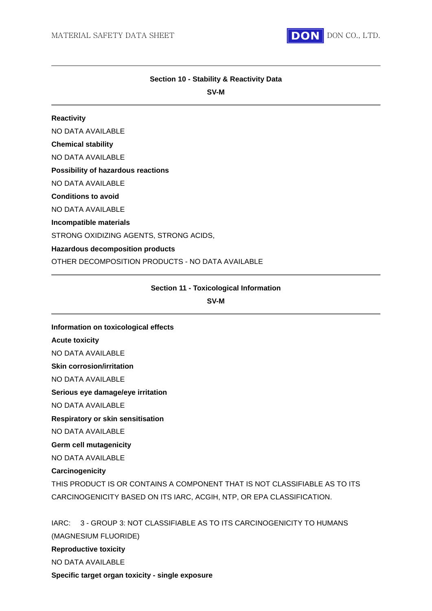**Information on toxicological effects**

**Acute toxicity**



# **Section 10 - Stability & Reactivity Data SV-M**

**Reactivity** NO DATA AVAILABLE **Chemical stability** NO DATA AVAILABLE **Possibility of hazardous reactions** NO DATA AVAILABLE **Conditions to avoid** NO DATA AVAILABLE **Incompatible materials** STRONG OXIDIZING AGENTS, STRONG ACIDS, **Hazardous decomposition products** OTHER DECOMPOSITION PRODUCTS - NO DATA AVAILABLE

### **Section 11 - Toxicological Information**

**SV-M**

NO DATA AVAILABLE **Skin corrosion/irritation** NO DATA AVAILABLE **Serious eye damage/eye irritation** NO DATA AVAILABLE **Respiratory or skin sensitisation** NO DATA AVAILABLE **Germ cell mutagenicity** NO DATA AVAILABLE **Carcinogenicity** THIS PRODUCT IS OR CONTAINS A COMPONENT THAT IS NOT CLASSIFIABLE AS TO ITS CARCINOGENICITY BASED ON ITS IARC, ACGIH, NTP, OR EPA CLASSIFICATION. IARC: 3 - GROUP 3: NOT CLASSIFIABLE AS TO ITS CARCINOGENICITY TO HUMANS (MAGNESIUM FLUORIDE) **Reproductive toxicity** NO DATA AVAILABLE **Specific target organ toxicity - single exposure**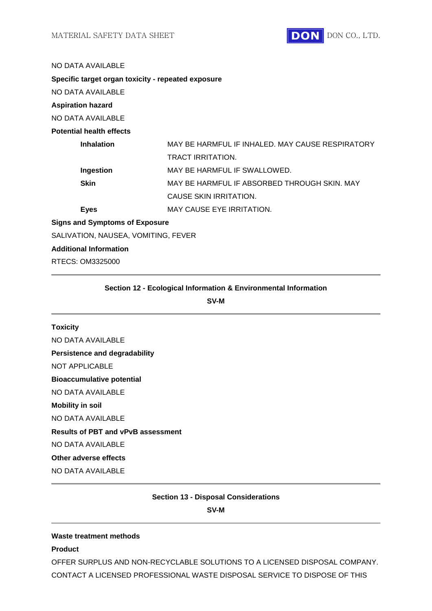

#### NO DATA AVAILABLE

#### **Specific target organ toxicity - repeated exposure**

NO DATA AVAILABLE

#### **Aspiration hazard**

NO DATA AVAILABLE

**Potential health effects**

| <b>Inhalation</b> | MAY BE HARMFUL IF INHALED. MAY CAUSE RESPIRATORY |
|-------------------|--------------------------------------------------|
|                   | TRACT IRRITATION.                                |
| Ingestion         | MAY BE HARMFUL IF SWALLOWED.                     |
| Skin              | MAY BE HARMFUL IF ABSORBED THROUGH SKIN. MAY     |

CAUSE SKIN IRRITATION.

**Eyes** MAY CAUSE EYE IRRITATION.

#### **Signs and Symptoms of Exposure**

SALIVATION, NAUSEA, VOMITING, FEVER

#### **Additional Information**

RTECS: OM3325000

#### **Section 12 - Ecological Information & Environmental Information**

**SV-M**

# **Toxicity** NO DATA AVAILABLE **Persistence and degradability** NOT APPLICABLE **Bioaccumulative potential** NO DATA AVAILABLE **Mobility in soil** NO DATA AVAILABLE **Results of PBT and vPvB assessment** NO DATA AVAILABLE **Other adverse effects**

NO DATA AVAILABLE

#### **Section 13 - Disposal Considerations**

**SV-M**

#### **Waste treatment methods**

#### **Product**

OFFER SURPLUS AND NON-RECYCLABLE SOLUTIONS TO A LICENSED DISPOSAL COMPANY. CONTACT A LICENSED PROFESSIONAL WASTE DISPOSAL SERVICE TO DISPOSE OF THIS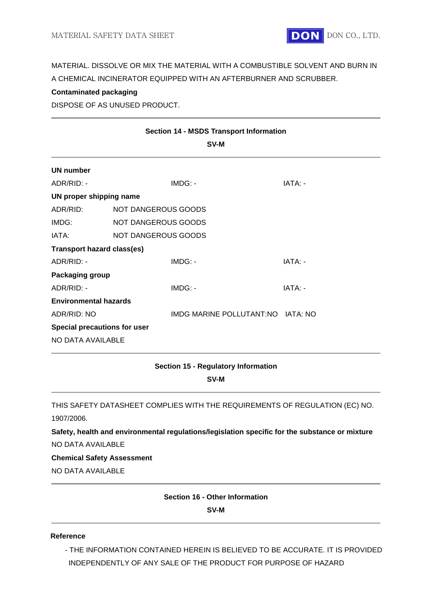

# MATERIAL. DISSOLVE OR MIX THE MATERIAL WITH A COMBUSTIBLE SOLVENT AND BURN IN A CHEMICAL INCINERATOR EQUIPPED WITH AN AFTERBURNER AND SCRUBBER.

# **Contaminated packaging**

DISPOSE OF AS UNUSED PRODUCT.

| <b>Section 14 - MSDS Transport Information</b> |                     |                                   |         |  |  |
|------------------------------------------------|---------------------|-----------------------------------|---------|--|--|
| SV-M                                           |                     |                                   |         |  |  |
| <b>UN number</b>                               |                     |                                   |         |  |  |
| ADR/RID: -                                     |                     | IMDG: -                           | IATA: - |  |  |
| UN proper shipping name                        |                     |                                   |         |  |  |
| ADR/RID:                                       | NOT DANGEROUS GOODS |                                   |         |  |  |
| IMDG:                                          | NOT DANGEROUS GOODS |                                   |         |  |  |
| IATA:                                          | NOT DANGEROUS GOODS |                                   |         |  |  |
| <b>Transport hazard class(es)</b>              |                     |                                   |         |  |  |
| ADR/RID: -                                     |                     | IMDG: -                           | IATA: - |  |  |
| Packaging group                                |                     |                                   |         |  |  |
| ADR/RID: -                                     |                     | IMDG: -                           | IATA: - |  |  |
| <b>Environmental hazards</b>                   |                     |                                   |         |  |  |
| ADR/RID: NO                                    |                     | IMDG MARINE POLLUTANT:NO IATA: NO |         |  |  |
| <b>Special precautions for user</b>            |                     |                                   |         |  |  |
| NO DATA AVAILABLE                              |                     |                                   |         |  |  |

# **Section 15 - Regulatory Information SV-M**

THIS SAFETY DATASHEET COMPLIES WITH THE REQUIREMENTS OF REGULATION (EC) NO. 1907/2006.

**Safety, health and environmental regulations/legislation specific for the substance or mixture** NO DATA AVAILABLE

**Chemical Safety Assessment**

NO DATA AVAILABLE

### **Section 16 - Other Information**

**SV-M**

### **Reference**

- THE INFORMATION CONTAINED HEREIN IS BELIEVED TO BE ACCURATE. IT IS PROVIDED INDEPENDENTLY OF ANY SALE OF THE PRODUCT FOR PURPOSE OF HAZARD